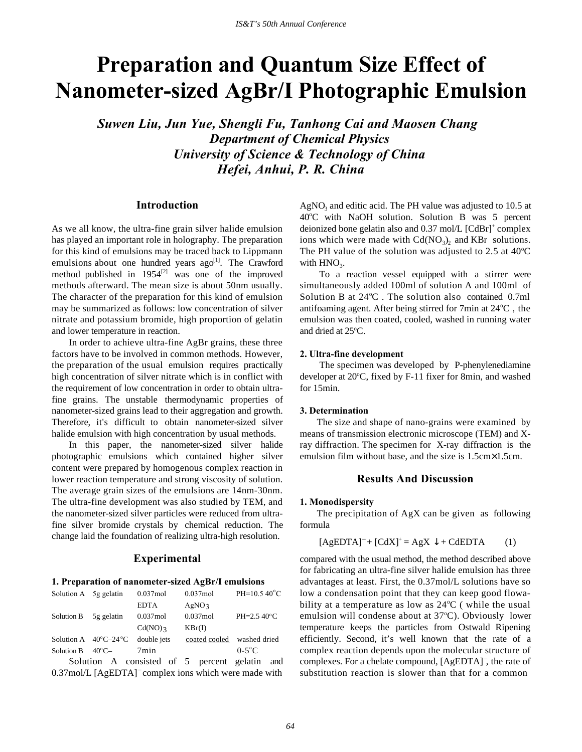# **Preparation and Quantum Size Effect of Nanometer-sized AgBr/I Photographic Emulsion**

*Suwen Liu, Jun Yue, Shengli Fu, Tanhong Cai and Maosen Chang Department of Chemical Physics University of Science & Technology of China Hefei, Anhui, P. R. China*

## **Introduction**

As we all know, the ultra-fine grain silver halide emulsion has played an important role in holography. The preparation for this kind of emulsions may be traced back to Lippmann emulsions about one hundred years  $ago^{[1]}$ . The Crawford method published in  $1954^{[2]}$  was one of the improved methods afterward. The mean size is about 50nm usually. The character of the preparation for this kind of emulsion may be summarized as follows: low concentration of silver nitrate and potassium bromide, high proportion of gelatin and lower temperature in reaction.

In order to achieve ultra-fine AgBr grains, these three factors have to be involved in common methods. However, the preparation of the usual emulsion requires practically high concentration of silver nitrate which is in conflict with the requirement of low concentration in order to obtain ultrafine grains. The unstable thermodynamic properties of nanometer-sized grains lead to their aggregation and growth. Therefore, it's difficult to obtain nanometer-sized silver halide emulsion with high concentration by usual methods.

In this paper, the nanometer-sized silver halide photographic emulsions which contained higher silver content were prepared by homogenous complex reaction in lower reaction temperature and strong viscosity of solution. The average grain sizes of the emulsions are 14nm-30nm. The ultra-fine development was also studied by TEM, and the nanometer-sized silver particles were reduced from ultrafine silver bromide crystals by chemical reduction. The change laid the foundation of realizing ultra-high resolution.

## **Experimental**

#### **1. Preparation of nanometer-sized AgBr/I emulsions**

| Solution A 5g gelatin |                                        | $0.037$ mol | $0.037$ mol       | $PH=10.540^{\circ}C$  |
|-----------------------|----------------------------------------|-------------|-------------------|-----------------------|
|                       |                                        | <b>EDTA</b> | AgNO <sub>3</sub> |                       |
| Solution B            | 5g gelatin                             | $0.037$ mol | $0.037$ mol       | $PH=2.5\ 40^{\circ}C$ |
|                       |                                        | $Cd(NO)$ 3  | KBr(I)            |                       |
|                       | Solution A $40^{\circ}C - 24^{\circ}C$ | double jets | coated cooled     | washed dried          |
| Solution B            | $40^{\circ}$ C $-$                     | 7min        |                   | $0-5$ °C              |

Solution A consisted of 5 percent gelatin and 0.37mol/L [AgEDTA]<sup>−</sup> complex ions which were made with

 $AgNO<sub>3</sub>$  and editic acid. The PH value was adjusted to 10.5 at 40°C with NaOH solution. Solution B was 5 percent deionized bone gelatin also and 0.37 mol/L [CdBr]<sup>+</sup> complex ions which were made with  $Cd(NO<sub>3</sub>)<sub>2</sub>$  and KBr solutions. The PH value of the solution was adjusted to 2.5 at  $40^{\circ}$ C with  $HNO<sub>3</sub>$ .

 To a reaction vessel equipped with a stirrer were simultaneously added 100ml of solution A and 100ml of Solution B at 24°C. The solution also contained 0.7ml antifoaming agent. After being stirred for 7min at 24°C, the emulsion was then coated, cooled, washed in running water and dried at 25°C.

#### **2. Ultra-fine development**

 The specimen was developed by P-phenylenediamine developer at 20°C, fixed by F-11 fixer for 8min, and washed for 15min.

#### **3. Determination**

The size and shape of nano-grains were examined by means of transmission electronic microscope (TEM) and Xray diffraction. The specimen for X-ray diffraction is the emulsion film without base, and the size is 1.5cm×1.5cm.

## **Results And Discussion**

#### **1. Monodispersity**

The precipitation of AgX can be given as following formula

$$
[AgEDTA]^{-} + [CdX]^{+} = AgX \downarrow + CdEDTA
$$
 (1)

compared with the usual method, the method described above for fabricating an ultra-fine silver halide emulsion has three advantages at least. First, the 0.37mol/L solutions have so low a condensation point that they can keep good flowability at a temperature as low as  $24^{\circ}$ C (while the usual emulsion will condense about at 37°C). Obviously lower temperature keeps the particles from Ostwald Ripening efficiently. Second, it's well known that the rate of a complex reaction depends upon the molecular structure of complexes. For a chelate compound, [AgEDTA]<sup>−</sup> , the rate of substitution reaction is slower than that for a common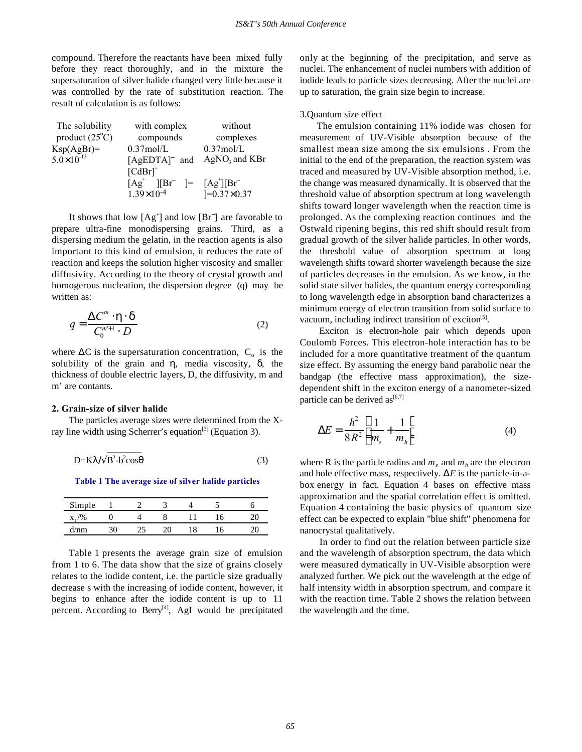compound. Therefore the reactants have been mixed fully before they react thoroughly, and in the mixture the supersaturation of silver halide changed very little because it was controlled by the rate of substitution reaction. The result of calculation is as follows:

| The solubility          | with complex                                                                                                                                                     | without            |  |  |
|-------------------------|------------------------------------------------------------------------------------------------------------------------------------------------------------------|--------------------|--|--|
| product $(25^{\circ}C)$ | compounds                                                                                                                                                        | complexes          |  |  |
| $Ksp(AgBr)=$            | $0.37$ mol/L                                                                                                                                                     | $0.37$ mol/L       |  |  |
| $5.0 \times 10^{-13}$   | [AgEDTA] and                                                                                                                                                     | $AgNO3$ and KBr    |  |  |
|                         | $\left[\text{CdBr}\right]^+$                                                                                                                                     |                    |  |  |
|                         | $[Ag^+]$<br>$\begin{bmatrix} \overline{B} \overline{r} \end{bmatrix} = \begin{bmatrix} A g^{\dagger} \end{bmatrix} \begin{bmatrix} B \overline{r} \end{bmatrix}$ |                    |  |  |
|                         | $1.39\times10^{-4}$                                                                                                                                              | $]=0.37\times0.37$ |  |  |

It shows that low  $[Ag^+]$  and low  $[Br^-]$  are favorable to prepare ultra-fine monodispersing grains. Third, as a dispersing medium the gelatin, in the reaction agents is also important to this kind of emulsion, it reduces the rate of reaction and keeps the solution higher viscosity and smaller diffusivity. According to the theory of crystal growth and homogerous nucleation, the dispersion degree (q) may be written as:

$$
q = \frac{\Delta C^m \cdot \eta \cdot \delta}{C_0^{m+1} \cdot D}
$$
 (2)

where  $\Delta C$  is the supersaturation concentration,  $C_0$  is the solubility of the grain and  $\eta$ , media viscosity,  $\delta$ , the thickness of double electric layers, D, the diffusivity, m and m' are contants.

#### **2. Grain-size of silver halide**

The particles average sizes were determined from the Xray line width using Scherrer's equation<sup>[3]</sup> (Equation 3).

$$
D=K\lambda/\sqrt{B^2-b^2\cos\theta}
$$
 (3)

**Table 1 The average size of silver halide particles**

| Simple |  |  |  |
|--------|--|--|--|
| X      |  |  |  |
| $V$ nm |  |  |  |

Table 1 presents the average grain size of emulsion from 1 to 6. The data show that the size of grains closely relates to the iodide content, i.e. the particle size gradually decrease s with the increasing of iodide content, however, it begins to enhance after the iodide content is up to 11 percent. According to Berry<sup>[4]</sup>, AgI would be precipitated

only at the beginning of the precipitation, and serve as nuclei. The enhancement of nuclei numbers with addition of iodide leads to particle sizes decreasing. After the nuclei are up to saturation, the grain size begin to increase.

#### 3.Quantum size effect

The emulsion containing 11% iodide was chosen for measurement of UV-Visible absorption because of the smallest mean size among the six emulsions . From the initial to the end of the preparation, the reaction system was traced and measured by UV-Visible absorption method, i.e. the change was measured dynamically. It is observed that the threshold value of absorption spectrum at long wavelength shifts toward longer wavelength when the reaction time is prolonged. As the complexing reaction continues and the Ostwald ripening begins, this red shift should result from gradual growth of the silver halide particles. In other words, the threshold value of absorption spectrum at long wavelength shifts toward shorter wavelength because the size of particles decreases in the emulsion. As we know, in the solid state silver halides, the quantum energy corresponding to long wavelength edge in absorption band characterizes a minimum energy of electron transition from solid surface to vacuum, including indirect transition of exciton<sup>[5]</sup>.

 Exciton is electron-hole pair which depends upon Coulomb Forces. This electron-hole interaction has to be included for a more quantitative treatment of the quantum size effect. By assuming the energy band parabolic near the bandgap (the effective mass approximation), the sizedependent shift in the exciton energy of a nanometer-sized particle can be derived  $as^{[6,7]}$ 

$$
\Delta E = \frac{h^2}{8R^2} \left( \frac{1}{m_e} + \frac{1}{m_h} \right) \tag{4}
$$

where R is the particle radius and  $m_e$  and  $m_h$  are the electron and hole effective mass, respectively.  $\Delta E$  is the particle-in-abox energy in fact. Equation 4 bases on effective mass approximation and the spatial correlation effect is omitted. Equation 4 containing the basic physics of quantum size effect can be expected to explain "blue shift" phenomena for nanocrystal qualitatively.

 In order to find out the relation between particle size and the wavelength of absorption spectrum, the data which were measured dymatically in UV-Visible absorption were analyzed further. We pick out the wavelength at the edge of half intensity width in absorption spectrum, and compare it with the reaction time. Table 2 shows the relation between the wavelength and the time.